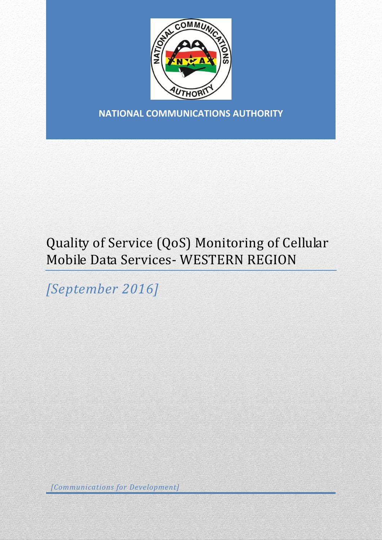

**NATIONAL COMMUNICATIONS AUTHORITY**

# Quality of Service (QoS) Monitoring of Cellular Mobile Data Services- WESTERN REGION

*[September 2016]*

*[Communications for Development]*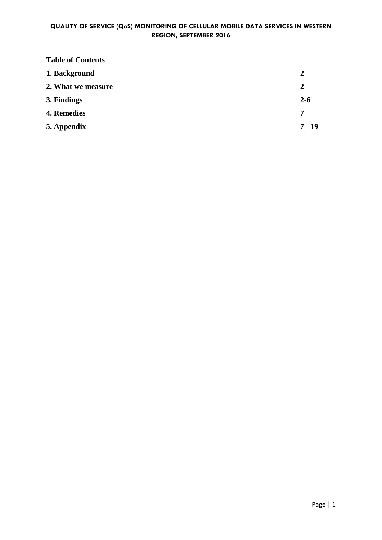# **Table of Contents**

| 1. Background      | $\overline{2}$ |
|--------------------|----------------|
| 2. What we measure | $\mathbf{2}$   |
| 3. Findings        | $2 - 6$        |
| <b>4. Remedies</b> | 7              |
| 5. Appendix        | $7 - 19$       |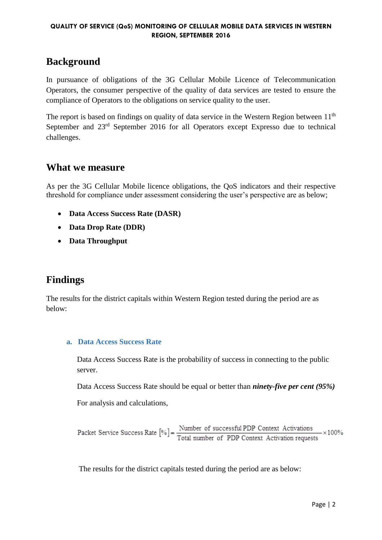# **Background**

In pursuance of obligations of the 3G Cellular Mobile Licence of Telecommunication Operators, the consumer perspective of the quality of data services are tested to ensure the compliance of Operators to the obligations on service quality to the user.

The report is based on findings on quality of data service in the Western Region between  $11<sup>th</sup>$ September and 23<sup>rd</sup> September 2016 for all Operators except Expresso due to technical challenges.

# **What we measure**

As per the 3G Cellular Mobile licence obligations, the QoS indicators and their respective threshold for compliance under assessment considering the user's perspective are as below;

- **Data Access Success Rate (DASR)**
- **Data Drop Rate (DDR)**
- **Data Throughput**

# **Findings**

The results for the district capitals within Western Region tested during the period are as below:

#### **a. Data Access Success Rate**

 Data Access Success Rate is the probability of success in connecting to the public server.

Data Access Success Rate should be equal or better than *ninety-five per cent (95%)*

For analysis and calculations,

 $-x100%$ 

The results for the district capitals tested during the period are as below: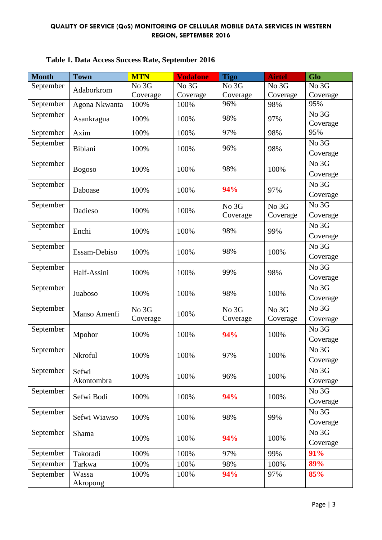# **Table 1. Data Access Success Rate, September 2016**

| <b>Month</b> | <b>Town</b>         | <b>MTN</b>        | <b>Vodafone</b> | <b>Tigo</b> | <b>Airtel</b>     | Glo      |
|--------------|---------------------|-------------------|-----------------|-------------|-------------------|----------|
| September    | Adaborkrom          | No 3G             | No 3G           | No 3G       | No 3G             | No 3G    |
|              |                     | Coverage          | Coverage        | Coverage    | Coverage          | Coverage |
| September    | Agona Nkwanta       | 100%              | 100%            | 96%         | 98%               | 95%      |
| September    | Asankragua          | 100%              | 100%            | 98%         | 97%               | No 3G    |
|              |                     |                   |                 |             |                   | Coverage |
| September    | Axim                | 100%              | 100%            | 97%         | 98%               | 95%      |
| September    | Bibiani             | 100%              | 100%            | 96%         | 98%               | No 3G    |
|              |                     |                   |                 |             |                   | Coverage |
| September    | <b>Bogoso</b>       | 100%              | 100%            | 98%         | 100%              | No 3G    |
|              |                     |                   |                 |             |                   | Coverage |
| September    | Daboase             | 100%              | 100%            | 94%         | 97%               | No 3G    |
|              |                     |                   |                 |             |                   | Coverage |
| September    | Dadieso             | 100%              | 100%            | No 3G       | No 3G             | No 3G    |
|              |                     |                   |                 | Coverage    | Coverage          | Coverage |
| September    | Enchi               |                   | 100%            | 98%         |                   | No 3G    |
|              |                     | 100%              |                 |             | 99%               | Coverage |
| September    |                     |                   |                 |             |                   | No 3G    |
|              | Essam-Debiso        | 100%              | 100%            | 98%         | 100%              | Coverage |
| September    | Half-Assini         | 100%              |                 | 99%         | 98%               | No 3G    |
|              |                     |                   | 100%            |             |                   | Coverage |
| September    | Juaboso             | 100%              |                 |             | 100%              | No 3G    |
|              |                     |                   | 100%            | 98%         |                   | Coverage |
| September    | Manso Amenfi        | No 3G<br>Coverage |                 | No 3G       | No 3G<br>Coverage | No 3G    |
|              |                     |                   | 100%            | Coverage    |                   | Coverage |
| September    |                     | 100%              |                 |             | 100%              | No 3G    |
|              | Mpohor              |                   | 100%            | 94%         |                   | Coverage |
| September    | Nkroful             | 100%              | 100%            | 97%         |                   | No 3G    |
|              |                     |                   |                 |             | 100%              | Coverage |
| September    | Sefwi<br>Akontombra | 100%              |                 | 96%         | 100%              | No 3G    |
|              |                     |                   | 100%            |             |                   | Coverage |
| September    | Sefwi Bodi          | 100%              | 100%            | 94%         | 100%              | No 3G    |
|              |                     |                   |                 |             |                   | Coverage |
| September    | Sefwi Wiawso        | 100%              | 100%            | 98%         | 99%               | No 3G    |
|              |                     |                   |                 |             |                   | Coverage |
| September    |                     | 100%              |                 | 94%         | 100%              | No 3G    |
|              | Shama               |                   | 100%            |             |                   | Coverage |
| September    | Takoradi            | 100%              | 100%            | 97%         | 99%               | 91%      |
| September    |                     |                   |                 |             |                   | 89%      |
|              | Tarkwa              | 100%              | 100%            | 98%         | 100%              |          |
| September    | Wassa<br>Akropong   | 100%              | 100%            | 94%         | 97%               | 85%      |
|              |                     |                   |                 |             |                   |          |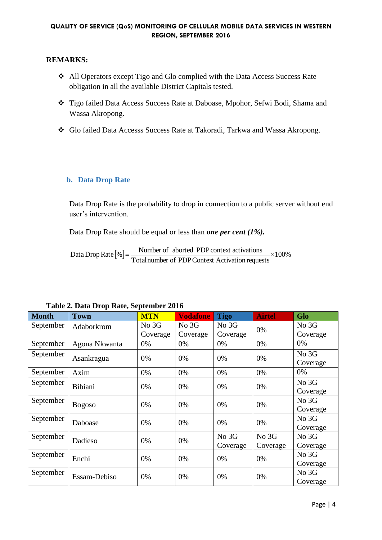#### **REMARKS:**

- All Operators except Tigo and Glo complied with the Data Access Success Rate obligation in all the available District Capitals tested.
- Tigo failed Data Access Success Rate at Daboase, Mpohor, Sefwi Bodi, Shama and Wassa Akropong.
- Glo failed Data Accesss Success Rate at Takoradi, Tarkwa and Wassa Akropong.

#### **b. Data Drop Rate**

Data Drop Rate is the probability to drop in connection to a public server without end user's intervention.

Data Drop Rate should be equal or less than *one per cent (1%).*

 $[\%] = \frac{1 \times (11)}{2 \times 100} \times 100\%$ Totalnumber of PDPContext Activation requests Data Drop Rate  $[\%] = \frac{\text{Number of aborted PDP context activations}}{\text{SNR} \times \text{SNR} \times \text{SNR}} \times$ 

| <b>Month</b> | <b>Town</b>    | <b>MTN</b> | <b>Vodafone</b> | <b>Tigo</b> | <b>Airtel</b> | Glo      |
|--------------|----------------|------------|-----------------|-------------|---------------|----------|
| September    | Adaborkrom     | No 3G      | No 3G           | No 3G       | 0%            | No 3G    |
|              |                | Coverage   | Coverage        | Coverage    |               | Coverage |
| September    | Agona Nkwanta  | 0%         | 0%              | 0%          | 0%            | 0%       |
| September    | Asankragua     | 0%         | 0%              | 0%          | 0%            | No 3G    |
|              |                |            |                 |             |               | Coverage |
| September    | Axim           | 0%         | 0%              | 0%          | 0%            | 0%       |
| September    | <b>Bibiani</b> | 0%         | 0%              | 0%          | 0%            | No 3G    |
|              |                |            |                 |             |               | Coverage |
| September    | <b>Bogoso</b>  | $0\%$      | 0%              | 0%          | 0%            | No 3G    |
|              |                |            |                 |             |               | Coverage |
| September    | Daboase        | 0%         | 0%              | 0%          | 0%            | No 3G    |
|              |                |            |                 |             |               | Coverage |
| September    | Dadieso        | 0%         | 0%              | No 3G       | No 3G         | No 3G    |
|              |                |            |                 | Coverage    | Coverage      | Coverage |
| September    | Enchi          | 0%         | 0%              | 0%          | 0%            | No 3G    |
|              |                |            |                 |             |               | Coverage |
| September    | Essam-Debiso   | 0%         | 0%              | 0%          | 0%            | No 3G    |
|              |                |            |                 |             |               | Coverage |

**Table 2. Data Drop Rate, September 2016**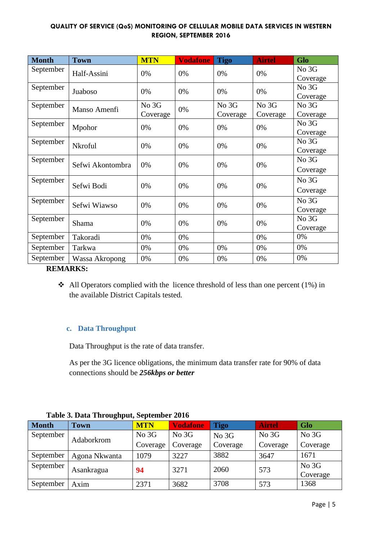| <b>Month</b> | <b>Town</b>      | <b>MTN</b>  | <b>Vodafone</b> | <b>Tigo</b> | <b>Airtel</b> | Glo      |
|--------------|------------------|-------------|-----------------|-------------|---------------|----------|
| September    | Half-Assini      | 0%          | 0%              | 0%          | 0%            | No 3G    |
|              |                  |             |                 |             |               | Coverage |
| September    | Juaboso          | 0%          | 0%              | 0%          | 0%            | No 3G    |
|              |                  |             |                 |             |               | Coverage |
| September    | Manso Amenfi     | No 3G<br>0% | No 3G           | No 3G       | No 3G         |          |
|              |                  | Coverage    |                 | Coverage    | Coverage      | Coverage |
| September    |                  | 0%          | 0%              | 0%          | 0%            | No 3G    |
|              | Mpohor           |             |                 |             |               | Coverage |
| September    | Nkroful          | 0%          | 0%              | 0%          | 0%            | No 3G    |
|              |                  |             |                 |             |               | Coverage |
| September    |                  |             |                 |             |               | No 3G    |
|              | Sefwi Akontombra | 0%          | 0%              | 0%          | 0%            | Coverage |
| September    |                  |             |                 |             |               | No 3G    |
|              | Sefwi Bodi       | 0%          | 0%              | 0%          | 0%            | Coverage |
| September    | Sefwi Wiawso     | 0%          | 0%              | 0%          | 0%            | No 3G    |
|              |                  |             |                 |             |               | Coverage |
| September    | Shama            | 0%          | 0%              | 0%          | 0%            | No 3G    |
|              |                  |             |                 |             |               | Coverage |
| September    | Takoradi         | 0%          | 0%              |             | 0%            | 0%       |
| September    | Tarkwa           | 0%          | 0%              | 0%          | 0%            | 0%       |
| September    | Wassa Akropong   | 0%          | 0%              | 0%          | 0%            | 0%       |

#### **REMARKS:**

 $\triangleleft$  All Operators complied with the licence threshold of less than one percent (1%) in the available District Capitals tested.

# **c. Data Throughput**

Data Throughput is the rate of data transfer.

As per the 3G licence obligations, the minimum data transfer rate for 90% of data connections should be *256kbps or better*

| <b>Month</b> | <b>Town</b>   | <b>MTN</b> | <b>Vodafone</b> | Tigo     | <b>Airtel</b> | Glo               |  |
|--------------|---------------|------------|-----------------|----------|---------------|-------------------|--|
| September    |               | No 3G      | No 3G           | No 3G    | No 3G         | No 3G             |  |
|              | Adaborkrom    | Coverage   | Coverage        | Coverage | Coverage      | Coverage          |  |
| September    | Agona Nkwanta | 1079       | 3227            | 3882     | 3647          | 1671              |  |
| September    | Asankragua    | 94         | 3271            | 2060     | 573           | No 3G<br>Coverage |  |
| September    | Axim          | 2371       | 3682            | 3708     | 573           | 1368              |  |

**Table 3. Data Throughput, September 2016**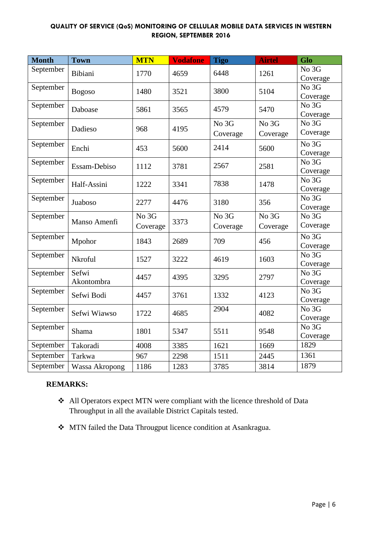| <b>Month</b> | <b>Town</b>         | <b>MTN</b>        | <b>Vodafone</b> | <b>Tigo</b>       | <b>Airtel</b>     | Glo                             |
|--------------|---------------------|-------------------|-----------------|-------------------|-------------------|---------------------------------|
| September    | Bibiani             | 1770              | 4659            | 6448              | 1261              | No 3G<br>Coverage               |
| September    | <b>Bogoso</b>       | 1480              | 3521            | 3800              | 5104              | No 3G<br>Coverage               |
| September    | Daboase             | 5861              | 3565            | 4579              | 5470              | No 3G<br>Coverage               |
| September    | Dadieso             | 968               | 4195            | No 3G<br>Coverage | No 3G<br>Coverage | No 3G<br>Coverage               |
| September    | Enchi               | 453               | 5600            | 2414              | 5600              | No 3G<br>Coverage               |
| September    | Essam-Debiso        | 1112              | 3781            | 2567              | 2581              | No 3G<br>Coverage               |
| September    | Half-Assini         | 1222              | 3341            | 7838              | 1478              | No 3G<br>Coverage               |
| September    | Juaboso             | 2277              | 4476            | 3180              | 356               | No 3G<br>Coverage               |
| September    | Manso Amenfi        | No 3G<br>Coverage | 3373            | No 3G<br>Coverage | No 3G<br>Coverage | No 3G<br>Coverage               |
| September    | Mpohor              | 1843              | 2689            | 709               | 456               | $\overline{No\ 3G}$<br>Coverage |
| September    | Nkroful             | 1527              | 3222            | 4619              | 1603              | No 3G<br>Coverage               |
| September    | Sefwi<br>Akontombra | 4457              | 4395            | 3295              | 2797              | No 3G<br>Coverage               |
| September    | Sefwi Bodi          | 4457              | 3761            | 1332              | 4123              | No 3G<br>Coverage               |
| September    | Sefwi Wiawso        | 1722              | 4685            | 2904              | 4082              | No 3G<br>Coverage               |
| September    | Shama               | 1801              | 5347            | 5511              | 9548              | No 3G<br>Coverage               |
| September    | Takoradi            | 4008              | 3385            | 1621              | 1669              | 1829                            |
| September    | Tarkwa              | 967               | 2298            | 1511              | 2445              | 1361                            |
| September    | Wassa Akropong      | 1186              | 1283            | 3785              | 3814              | 1879                            |

- All Operators expect MTN were compliant with the licence threshold of Data Throughput in all the available District Capitals tested.
- MTN failed the Data Througput licence condition at Asankragua.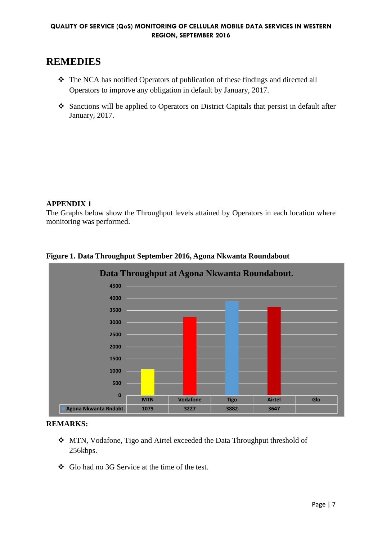# **REMEDIES**

- The NCA has notified Operators of publication of these findings and directed all Operators to improve any obligation in default by January, 2017.
- Sanctions will be applied to Operators on District Capitals that persist in default after January, 2017.

#### **APPENDIX 1**

The Graphs below show the Throughput levels attained by Operators in each location where monitoring was performed.



**Figure 1. Data Throughput September 2016, Agona Nkwanta Roundabout**

- MTN, Vodafone, Tigo and Airtel exceeded the Data Throughput threshold of 256kbps.
- Glo had no 3G Service at the time of the test.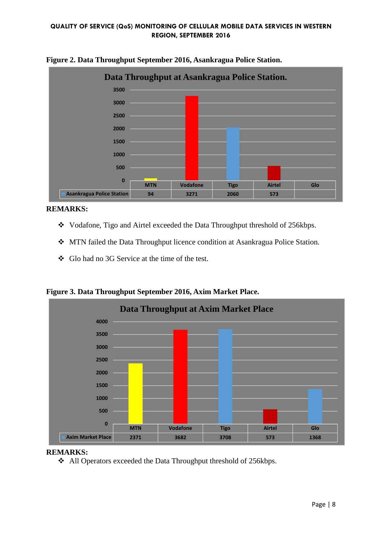



#### **REMARKS:**

- Vodafone, Tigo and Airtel exceeded the Data Throughput threshold of 256kbps.
- MTN failed the Data Throughput licence condition at Asankragua Police Station.
- Glo had no 3G Service at the time of the test.

**Figure 3. Data Throughput September 2016, Axim Market Place.**



#### **REMARKS:**

All Operators exceeded the Data Throughput threshold of 256kbps.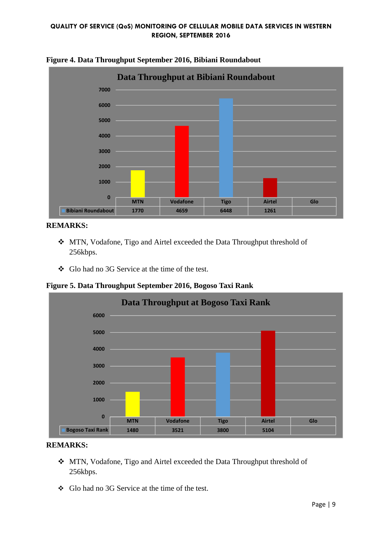

**Figure 4. Data Throughput September 2016, Bibiani Roundabout**

# **REMARKS:**

- MTN, Vodafone, Tigo and Airtel exceeded the Data Throughput threshold of 256kbps.
- Glo had no 3G Service at the time of the test.

**Figure 5. Data Throughput September 2016, Bogoso Taxi Rank**



- MTN, Vodafone, Tigo and Airtel exceeded the Data Throughput threshold of 256kbps.
- Glo had no 3G Service at the time of the test.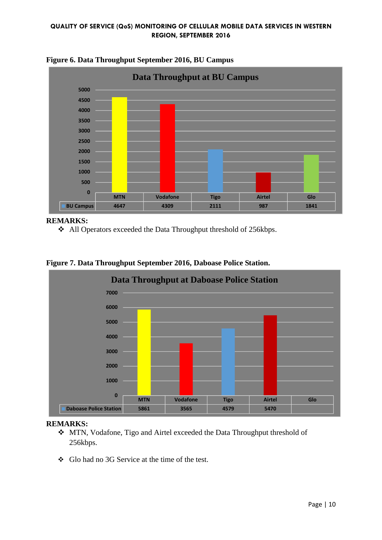

**Figure 6. Data Throughput September 2016, BU Campus**

#### **REMARKS:**

All Operators exceeded the Data Throughput threshold of 256kbps.





- MTN, Vodafone, Tigo and Airtel exceeded the Data Throughput threshold of 256kbps.
- Glo had no 3G Service at the time of the test.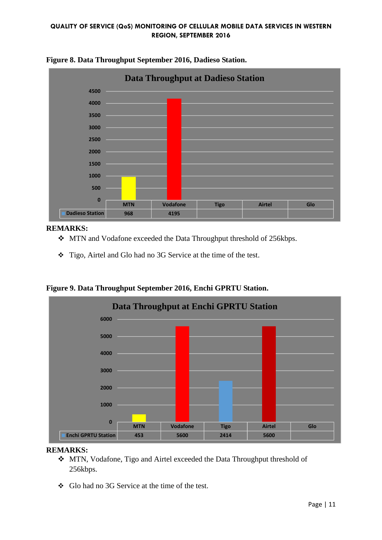

**Figure 8. Data Throughput September 2016, Dadieso Station.**

#### **REMARKS:**

- $\div$  MTN and Vodafone exceeded the Data Throughput threshold of 256kbps.
- Tigo, Airtel and Glo had no 3G Service at the time of the test.

**Figure 9. Data Throughput September 2016, Enchi GPRTU Station.**



- MTN, Vodafone, Tigo and Airtel exceeded the Data Throughput threshold of 256kbps.
- Glo had no 3G Service at the time of the test.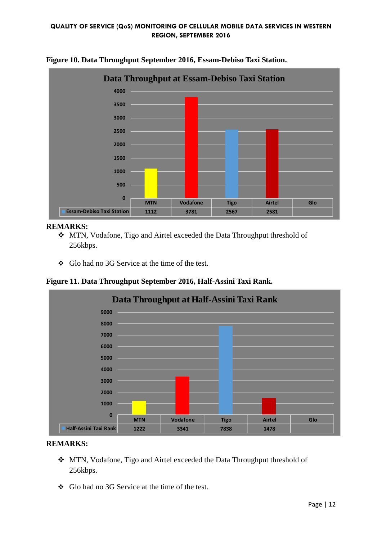

#### **Figure 10. Data Throughput September 2016, Essam-Debiso Taxi Station.**

#### **REMARKS:**

- MTN, Vodafone, Tigo and Airtel exceeded the Data Throughput threshold of 256kbps.
- Glo had no 3G Service at the time of the test.

**Figure 11. Data Throughput September 2016, Half-Assini Taxi Rank.**



- MTN, Vodafone, Tigo and Airtel exceeded the Data Throughput threshold of 256kbps.
- Glo had no 3G Service at the time of the test.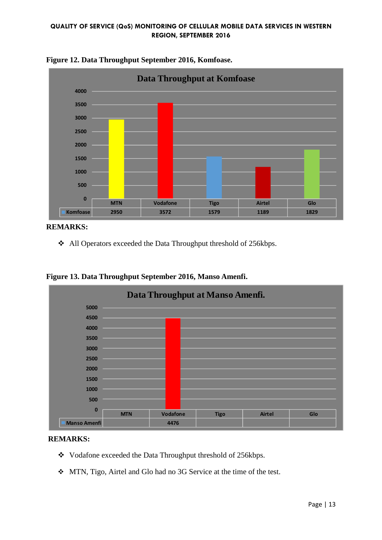

**Figure 12. Data Throughput September 2016, Komfoase.**

# **REMARKS:**

All Operators exceeded the Data Throughput threshold of 256kbps.



**MTN Vodafone Tigo Airtel Glo**

**Figure 13. Data Throughput September 2016, Manso Amenfi.**

# **REMARKS:**

• Vodafone exceeded the Data Throughput threshold of 256kbps.

**Manso Amenfi 4476**

**0 500**

MTN, Tigo, Airtel and Glo had no 3G Service at the time of the test.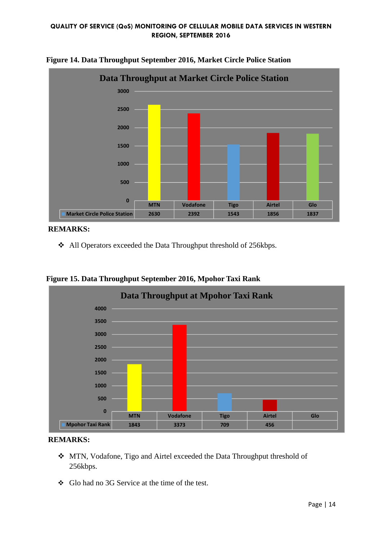

**Figure 14. Data Throughput September 2016, Market Circle Police Station**

# **REMARKS:**

All Operators exceeded the Data Throughput threshold of 256kbps.

**Figure 15. Data Throughput September 2016, Mpohor Taxi Rank**



- MTN, Vodafone, Tigo and Airtel exceeded the Data Throughput threshold of 256kbps.
- Glo had no 3G Service at the time of the test.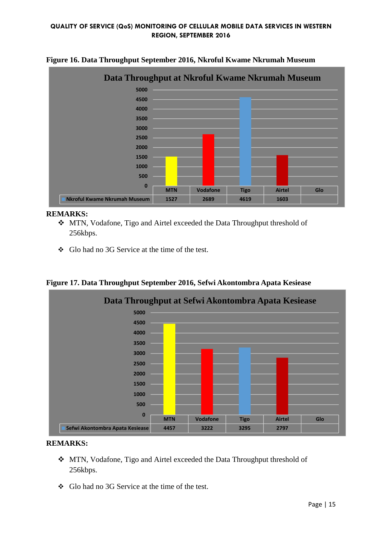

#### **Figure 16. Data Throughput September 2016, Nkroful Kwame Nkrumah Museum**

#### **REMARKS:**

- MTN, Vodafone, Tigo and Airtel exceeded the Data Throughput threshold of 256kbps.
- Glo had no 3G Service at the time of the test.

**Figure 17. Data Throughput September 2016, Sefwi Akontombra Apata Kesiease**



- MTN, Vodafone, Tigo and Airtel exceeded the Data Throughput threshold of 256kbps.
- Glo had no 3G Service at the time of the test.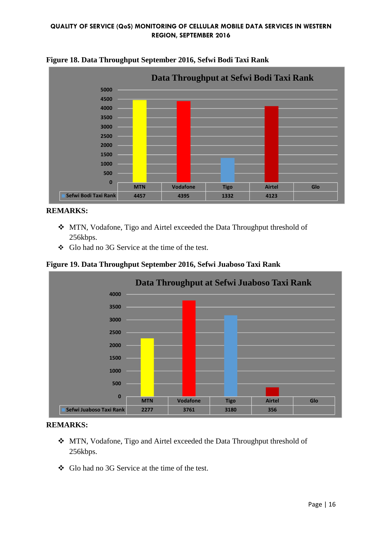

#### **Figure 18. Data Throughput September 2016, Sefwi Bodi Taxi Rank**

# **REMARKS:**

- MTN, Vodafone, Tigo and Airtel exceeded the Data Throughput threshold of 256kbps.
- Glo had no 3G Service at the time of the test.

#### **Figure 19. Data Throughput September 2016, Sefwi Juaboso Taxi Rank**



- MTN, Vodafone, Tigo and Airtel exceeded the Data Throughput threshold of 256kbps.
- Glo had no 3G Service at the time of the test.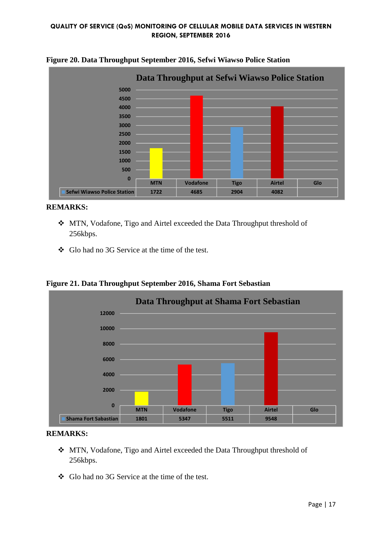

#### **Figure 20. Data Throughput September 2016, Sefwi Wiawso Police Station**

#### **REMARKS:**

- MTN, Vodafone, Tigo and Airtel exceeded the Data Throughput threshold of 256kbps.
- Glo had no 3G Service at the time of the test.

**Figure 21. Data Throughput September 2016, Shama Fort Sebastian**



- MTN, Vodafone, Tigo and Airtel exceeded the Data Throughput threshold of 256kbps.
- Glo had no 3G Service at the time of the test.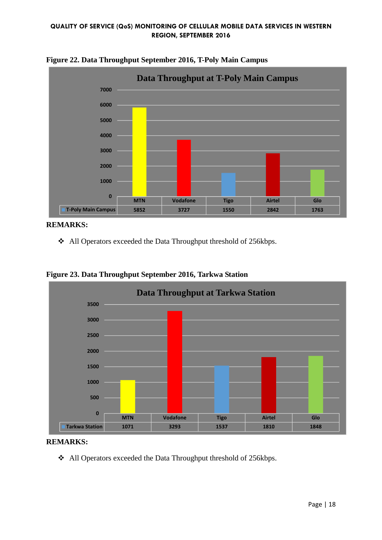

**Figure 22. Data Throughput September 2016, T-Poly Main Campus**

# **REMARKS:**

All Operators exceeded the Data Throughput threshold of 256kbps.

**Figure 23. Data Throughput September 2016, Tarkwa Station**



**REMARKS:**

All Operators exceeded the Data Throughput threshold of 256kbps.